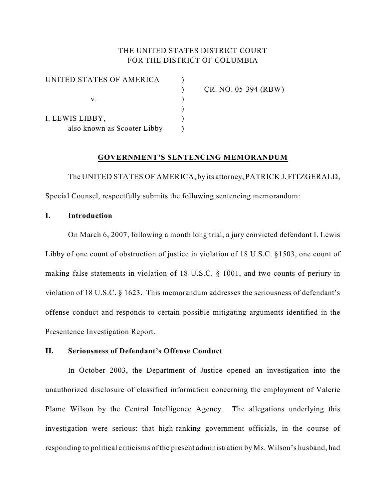## THE UNITED STATES DISTRICT COURT FOR THE DISTRICT OF COLUMBIA

| UNITED STATES OF AMERICA    |  |
|-----------------------------|--|
|                             |  |
| V.                          |  |
|                             |  |
| I. LEWIS LIBBY,             |  |
| also known as Scooter Libby |  |

) CR. NO. 05-394 (RBW)

### **GOVERNMENT'S SENTENCING MEMORANDUM**

The UNITED STATES OF AMERICA, by its attorney, PATRICK J. FITZGERALD, Special Counsel, respectfully submits the following sentencing memorandum:

### **I. Introduction**

On March 6, 2007, following a month long trial, a jury convicted defendant I. Lewis Libby of one count of obstruction of justice in violation of 18 U.S.C. §1503, one count of making false statements in violation of 18 U.S.C. § 1001, and two counts of perjury in violation of 18 U.S.C. § 1623. This memorandum addresses the seriousness of defendant's offense conduct and responds to certain possible mitigating arguments identified in the Presentence Investigation Report.

## **II. Seriousness of Defendant's Offense Conduct**

In October 2003, the Department of Justice opened an investigation into the unauthorized disclosure of classified information concerning the employment of Valerie Plame Wilson by the Central Intelligence Agency. The allegations underlying this investigation were serious: that high-ranking government officials, in the course of responding to political criticisms of the present administration by Ms. Wilson's husband, had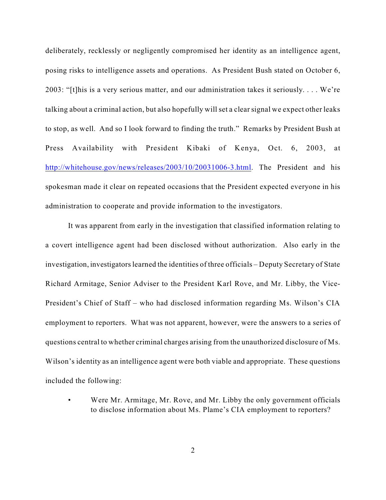deliberately, recklessly or negligently compromised her identity as an intelligence agent, posing risks to intelligence assets and operations.As President Bush stated on October 6, 2003: "[t]his is a very serious matter, and our administration takes it seriously. . . . We're talking about a criminal action, but also hopefully will set a clear signal we expect other leaks to stop, as well. And so I look forward to finding the truth." Remarks by President Bush at Press Availability with President Kibaki of Kenya, Oct. 6, 2003, at <http://whitehouse.gov/news/releases/2003/10/20031006-3.html>. The President and his spokesman made it clear on repeated occasions that the President expected everyone in his administration to cooperate and provide information to the investigators.

It was apparent from early in the investigation that classified information relating to a covert intelligence agent had been disclosed without authorization. Also early in the investigation, investigators learned the identities of three officials – Deputy Secretary of State Richard Armitage, Senior Adviser to the President Karl Rove, and Mr. Libby, the Vice-President's Chief of Staff – who had disclosed information regarding Ms. Wilson's CIA employment to reporters. What was not apparent, however, were the answers to a series of questions central to whether criminal charges arising from the unauthorized disclosure of Ms. Wilson's identity as an intelligence agent were both viable and appropriate. These questions included the following:

Were Mr. Armitage, Mr. Rove, and Mr. Libby the only government officials to disclose information about Ms. Plame's CIA employment to reporters?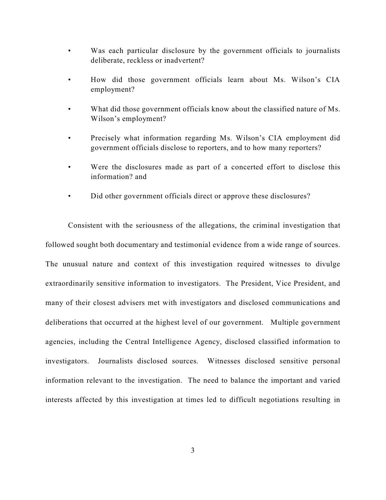- Was each particular disclosure by the government officials to journalists deliberate, reckless or inadvertent?
- How did those government officials learn about Ms. Wilson's CIA employment?
- What did those government officials know about the classified nature of Ms. Wilson's employment?
- Precisely what information regarding Ms. Wilson's CIA employment did government officials disclose to reporters, and to how many reporters?
- Were the disclosures made as part of a concerted effort to disclose this information? and
- Did other government officials direct or approve these disclosures?

Consistent with the seriousness of the allegations, the criminal investigation that followed sought both documentary and testimonial evidence from a wide range of sources. The unusual nature and context of this investigation required witnesses to divulge extraordinarily sensitive information to investigators. The President, Vice President, and many of their closest advisers met with investigators and disclosed communications and deliberations that occurred at the highest level of our government. Multiple government agencies, including the Central Intelligence Agency, disclosed classified information to investigators. Journalists disclosed sources. Witnesses disclosed sensitive personal information relevant to the investigation. The need to balance the important and varied interests affected by this investigation at times led to difficult negotiations resulting in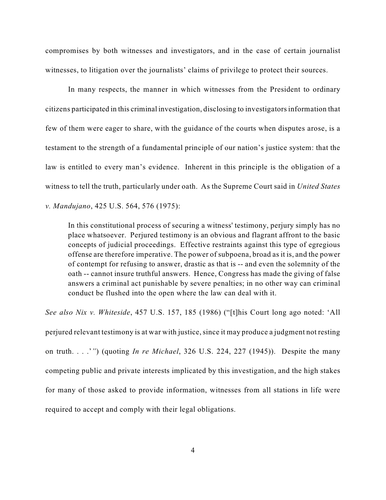compromises by both witnesses and investigators, and in the case of certain journalist witnesses, to litigation over the journalists' claims of privilege to protect their sources.

In many respects, the manner in which witnesses from the President to ordinary citizens participated in this criminal investigation, disclosing to investigators information that few of them were eager to share, with the guidance of the courts when disputes arose, is a testament to the strength of a fundamental principle of our nation's justice system: that the law is entitled to every man's evidence. Inherent in this principle is the obligation of a witness to tell the truth, particularly under oath. As the Supreme Court said in *United States v. Mandujano*, 425 U.S. 564, 576 (1975):

In this constitutional process of securing a witness' testimony, perjury simply has no place whatsoever. Perjured testimony is an obvious and flagrant affront to the basic concepts of judicial proceedings. Effective restraints against this type of egregious offense are therefore imperative. The power of subpoena, broad as it is, and the power of contempt for refusing to answer, drastic as that is -- and even the solemnity of the oath -- cannot insure truthful answers. Hence, Congress has made the giving of false answers a criminal act punishable by severe penalties; in no other way can criminal conduct be flushed into the open where the law can deal with it.

*See also Nix v. Whiteside*, 457 U.S. 157, 185 (1986) ("[t]his Court long ago noted: 'All perjured relevant testimony is at war with justice, since it may produce a judgment not resting on truth. . . .'*"*) (quoting *In re Michael*, 326 U.S. 224, 227 (1945)). Despite the many competing public and private interests implicated by this investigation, and the high stakes for many of those asked to provide information, witnesses from all stations in life were required to accept and comply with their legal obligations.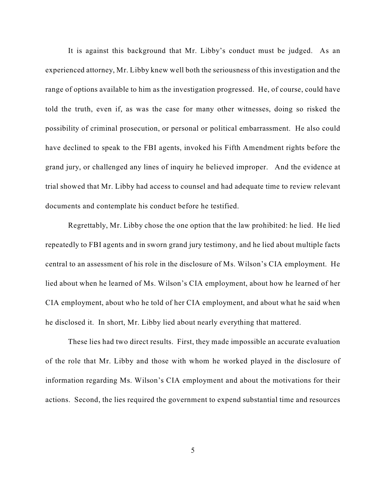It is against this background that Mr. Libby's conduct must be judged. As an experienced attorney, Mr. Libby knew well both the seriousness of this investigation and the range of options available to him as the investigation progressed. He, of course, could have told the truth, even if, as was the case for many other witnesses, doing so risked the possibility of criminal prosecution, or personal or political embarrassment. He also could have declined to speak to the FBI agents, invoked his Fifth Amendment rights before the grand jury, or challenged any lines of inquiry he believed improper. And the evidence at trial showed that Mr. Libby had access to counsel and had adequate time to review relevant documents and contemplate his conduct before he testified.

Regrettably, Mr. Libby chose the one option that the law prohibited: he lied. He lied repeatedly to FBI agents and in sworn grand jury testimony, and he lied about multiple facts central to an assessment of his role in the disclosure of Ms. Wilson's CIA employment. He lied about when he learned of Ms. Wilson's CIA employment, about how he learned of her CIA employment, about who he told of her CIA employment, and about what he said when he disclosed it. In short, Mr. Libby lied about nearly everything that mattered.

These lies had two direct results. First, they made impossible an accurate evaluation of the role that Mr. Libby and those with whom he worked played in the disclosure of information regarding Ms. Wilson's CIA employment and about the motivations for their actions. Second, the lies required the government to expend substantial time and resources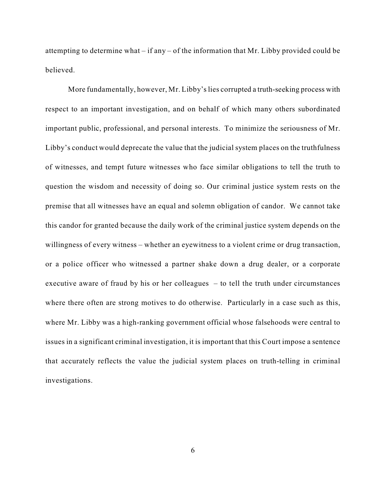attempting to determine what – if any – of the information that Mr. Libby provided could be believed.

More fundamentally, however, Mr. Libby's lies corrupted a truth-seeking process with respect to an important investigation, and on behalf of which many others subordinated important public, professional, and personal interests. To minimize the seriousness of Mr. Libby's conduct would deprecate the value that the judicial system places on the truthfulness of witnesses, and tempt future witnesses who face similar obligations to tell the truth to question the wisdom and necessity of doing so. Our criminal justice system rests on the premise that all witnesses have an equal and solemn obligation of candor. We cannot take this candor for granted because the daily work of the criminal justice system depends on the willingness of every witness – whether an eyewitness to a violent crime or drug transaction, or a police officer who witnessed a partner shake down a drug dealer, or a corporate executive aware of fraud by his or her colleagues – to tell the truth under circumstances where there often are strong motives to do otherwise. Particularly in a case such as this, where Mr. Libby was a high-ranking government official whose falsehoods were central to issues in a significant criminal investigation, it is important that this Court impose a sentence that accurately reflects the value the judicial system places on truth-telling in criminal investigations.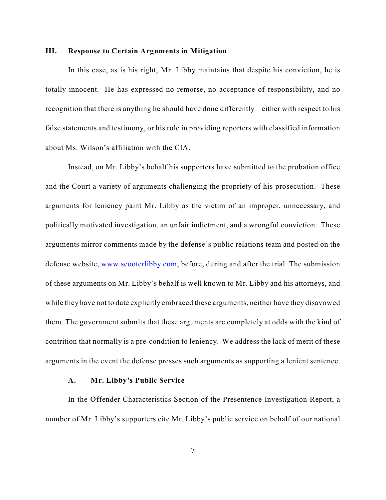#### **III. Response to Certain Arguments in Mitigation**

In this case, as is his right, Mr. Libby maintains that despite his conviction, he is totally innocent. He has expressed no remorse, no acceptance of responsibility, and no recognition that there is anything he should have done differently – either with respect to his false statements and testimony, or his role in providing reporters with classified information about Ms. Wilson's affiliation with the CIA.

Instead, on Mr. Libby's behalf his supporters have submitted to the probation office and the Court a variety of arguments challenging the propriety of his prosecution. These arguments for leniency paint Mr. Libby as the victim of an improper, unnecessary, and politically motivated investigation, an unfair indictment, and a wrongful conviction. These arguments mirror comments made by the defense's public relations team and posted on the defense website, [www.scooterlibby.com,](http://www.scooterlibby.com,) before, during and after the trial. The submission of these arguments on Mr. Libby's behalf is well known to Mr. Libby and his attorneys, and while they have not to date explicitly embraced these arguments, neither have they disavowed them. The government submits that these arguments are completely at odds with the kind of contrition that normally is a pre-condition to leniency. We address the lack of merit of these arguments in the event the defense presses such arguments as supporting a lenient sentence.

#### **A. Mr. Libby's Public Service**

In the Offender Characteristics Section of the Presentence Investigation Report, a number of Mr. Libby's supporters cite Mr. Libby's public service on behalf of our national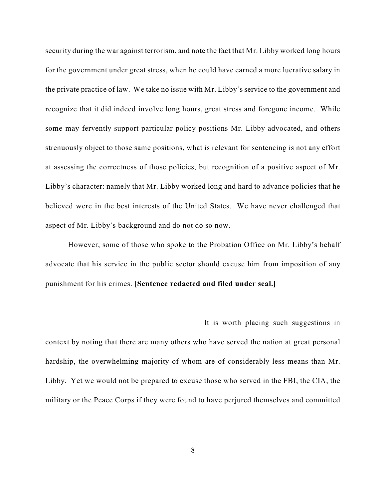security during the war against terrorism, and note the fact that Mr. Libby worked long hours for the government under great stress, when he could have earned a more lucrative salary in the private practice of law. We take no issue with Mr. Libby's service to the government and recognize that it did indeed involve long hours, great stress and foregone income. While some may fervently support particular policy positions Mr. Libby advocated, and others strenuously object to those same positions, what is relevant for sentencing is not any effort at assessing the correctness of those policies, but recognition of a positive aspect of Mr. Libby's character: namely that Mr. Libby worked long and hard to advance policies that he believed were in the best interests of the United States. We have never challenged that aspect of Mr. Libby's background and do not do so now.

However, some of those who spoke to the Probation Office on Mr. Libby's behalf advocate that his service in the public sector should excuse him from imposition of any punishment for his crimes. **[Sentence redacted and filed under seal.]** 

It is worth placing such suggestions in context by noting that there are many others who have served the nation at great personal hardship, the overwhelming majority of whom are of considerably less means than Mr. Libby. Yet we would not be prepared to excuse those who served in the FBI, the CIA, the military or the Peace Corps if they were found to have perjured themselves and committed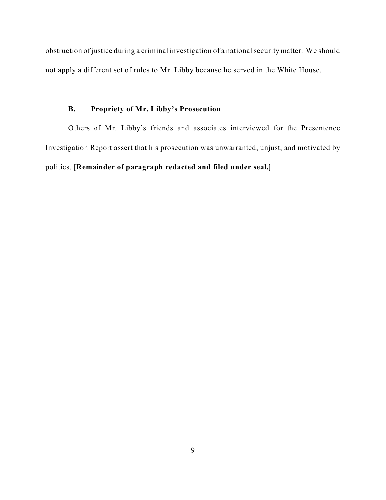obstruction of justice during a criminal investigation of a national security matter. We should not apply a different set of rules to Mr. Libby because he served in the White House.

# **B. Propriety of Mr. Libby's Prosecution**

Others of Mr. Libby's friends and associates interviewed for the Presentence Investigation Report assert that his prosecution was unwarranted, unjust, and motivated by politics. **[Remainder of paragraph redacted and filed under seal.]**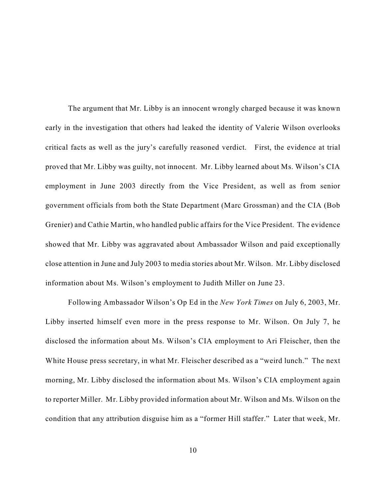The argument that Mr. Libby is an innocent wrongly charged because it was known early in the investigation that others had leaked the identity of Valerie Wilson overlooks critical facts as well as the jury's carefully reasoned verdict. First, the evidence at trial proved that Mr. Libby was guilty, not innocent. Mr. Libby learned about Ms. Wilson's CIA employment in June 2003 directly from the Vice President, as well as from senior government officials from both the State Department (Marc Grossman) and the CIA (Bob Grenier) and Cathie Martin, who handled public affairs for the Vice President. The evidence showed that Mr. Libby was aggravated about Ambassador Wilson and paid exceptionally close attention in June and July 2003 to media stories about Mr. Wilson. Mr. Libby disclosed information about Ms. Wilson's employment to Judith Miller on June 23.

Following Ambassador Wilson's Op Ed in the *New York Times* on July 6, 2003, Mr. Libby inserted himself even more in the press response to Mr. Wilson. On July 7, he disclosed the information about Ms. Wilson's CIA employment to Ari Fleischer, then the White House press secretary, in what Mr. Fleischer described as a "weird lunch." The next morning, Mr. Libby disclosed the information about Ms. Wilson's CIA employment again to reporter Miller. Mr. Libby provided information about Mr. Wilson and Ms. Wilson on the condition that any attribution disguise him as a "former Hill staffer." Later that week, Mr.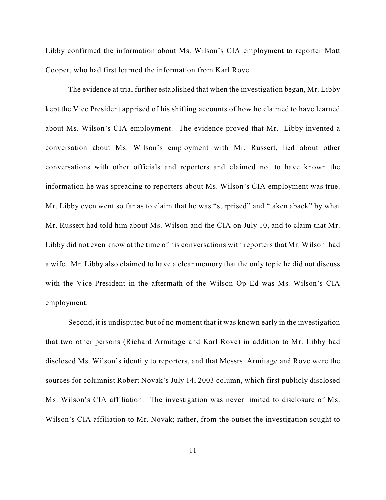Libby confirmed the information about Ms. Wilson's CIA employment to reporter Matt Cooper, who had first learned the information from Karl Rove.

The evidence at trial further established that when the investigation began, Mr. Libby kept the Vice President apprised of his shifting accounts of how he claimed to have learned about Ms. Wilson's CIA employment. The evidence proved that Mr. Libby invented a conversation about Ms. Wilson's employment with Mr. Russert, lied about other conversations with other officials and reporters and claimed not to have known the information he was spreading to reporters about Ms. Wilson's CIA employment was true. Mr. Libby even went so far as to claim that he was "surprised" and "taken aback" by what Mr. Russert had told him about Ms. Wilson and the CIA on July 10, and to claim that Mr. Libby did not even know at the time of his conversations with reporters that Mr. Wilson had a wife. Mr. Libby also claimed to have a clear memory that the only topic he did not discuss with the Vice President in the aftermath of the Wilson Op Ed was Ms. Wilson's CIA employment.

Second, it is undisputed but of no moment that it was known early in the investigation that two other persons (Richard Armitage and Karl Rove) in addition to Mr. Libby had disclosed Ms. Wilson's identity to reporters, and that Messrs. Armitage and Rove were the sources for columnist Robert Novak's July 14, 2003 column, which first publicly disclosed Ms. Wilson's CIA affiliation. The investigation was never limited to disclosure of Ms. Wilson's CIA affiliation to Mr. Novak; rather, from the outset the investigation sought to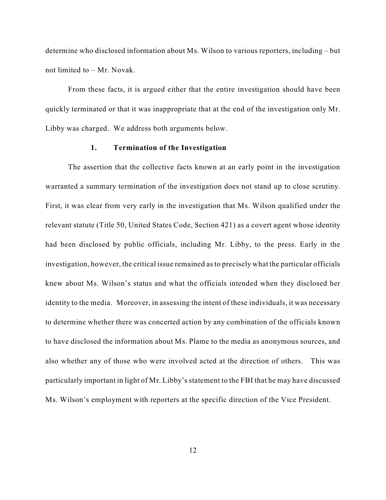determine who disclosed information about Ms. Wilson to various reporters, including – but not limited to – Mr. Novak.

From these facts, it is argued either that the entire investigation should have been quickly terminated or that it was inappropriate that at the end of the investigation only Mr. Libby was charged. We address both arguments below.

### **1. Termination of the Investigation**

The assertion that the collective facts known at an early point in the investigation warranted a summary termination of the investigation does not stand up to close scrutiny. First, it was clear from very early in the investigation that Ms. Wilson qualified under the relevant statute (Title 50, United States Code, Section 421) as a covert agent whose identity had been disclosed by public officials, including Mr. Libby, to the press. Early in the investigation, however, the critical issue remained as to precisely what the particular officials knew about Ms. Wilson's status and what the officials intended when they disclosed her identity to the media. Moreover, in assessing the intent of these individuals, it was necessary to determine whether there was concerted action by any combination of the officials known to have disclosed the information about Ms. Plame to the media as anonymous sources, and also whether any of those who were involved acted at the direction of others. This was particularly important in light of Mr. Libby's statement to the FBI that he may have discussed Ms. Wilson's employment with reporters at the specific direction of the Vice President.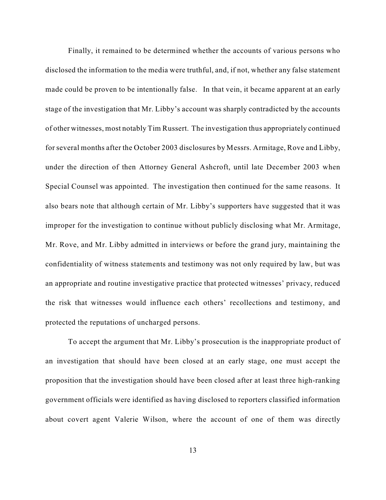Finally, it remained to be determined whether the accounts of various persons who disclosed the information to the media were truthful, and, if not, whether any false statement made could be proven to be intentionally false. In that vein, it became apparent at an early stage of the investigation that Mr. Libby's account was sharply contradicted by the accounts of other witnesses, most notably Tim Russert. The investigation thus appropriately continued for several months after the October 2003 disclosures by Messrs. Armitage, Rove and Libby, under the direction of then Attorney General Ashcroft, until late December 2003 when Special Counsel was appointed. The investigation then continued for the same reasons. It also bears note that although certain of Mr. Libby's supporters have suggested that it was improper for the investigation to continue without publicly disclosing what Mr. Armitage, Mr. Rove, and Mr. Libby admitted in interviews or before the grand jury, maintaining the confidentiality of witness statements and testimony was not only required by law, but was an appropriate and routine investigative practice that protected witnesses' privacy, reduced the risk that witnesses would influence each others' recollections and testimony, and protected the reputations of uncharged persons.

To accept the argument that Mr. Libby's prosecution is the inappropriate product of an investigation that should have been closed at an early stage, one must accept the proposition that the investigation should have been closed after at least three high-ranking government officials were identified as having disclosed to reporters classified information about covert agent Valerie Wilson, where the account of one of them was directly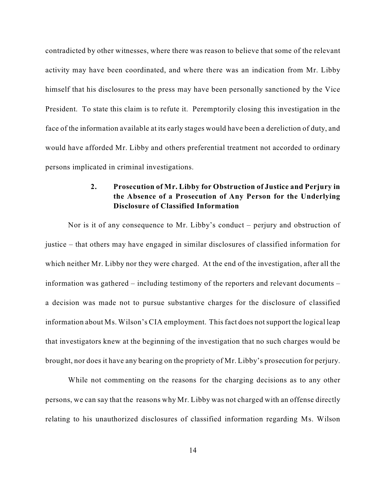contradicted by other witnesses, where there was reason to believe that some of the relevant activity may have been coordinated, and where there was an indication from Mr. Libby himself that his disclosures to the press may have been personally sanctioned by the Vice President. To state this claim is to refute it. Peremptorily closing this investigation in the face of the information available at its early stages would have been a dereliction of duty, and would have afforded Mr. Libby and others preferential treatment not accorded to ordinary persons implicated in criminal investigations.

# **2. Prosecution of Mr. Libby for Obstruction of Justice and Perjury in the Absence of a Prosecution of Any Person for the Underlying Disclosure of Classified Information**

Nor is it of any consequence to Mr. Libby's conduct – perjury and obstruction of justice – that others may have engaged in similar disclosures of classified information for which neither Mr. Libby nor they were charged. At the end of the investigation, after all the information was gathered – including testimony of the reporters and relevant documents – a decision was made not to pursue substantive charges for the disclosure of classified information about Ms. Wilson's CIA employment. This fact does notsupport the logical leap that investigators knew at the beginning of the investigation that no such charges would be brought, nor does it have any bearing on the propriety of Mr. Libby's prosecution for perjury.

While not commenting on the reasons for the charging decisions as to any other persons, we can say that the reasons why Mr. Libby was not charged with an offense directly relating to his unauthorized disclosures of classified information regarding Ms. Wilson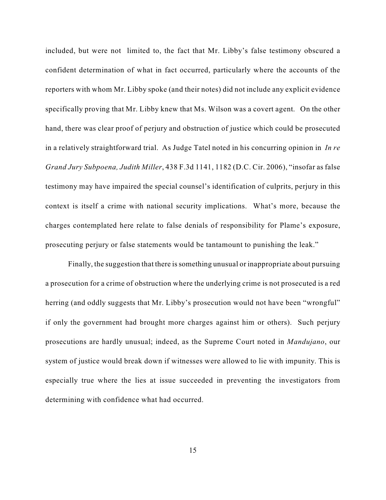included, but were not limited to, the fact that Mr. Libby's false testimony obscured a confident determination of what in fact occurred, particularly where the accounts of the reporters with whom Mr. Libby spoke (and their notes) did not include any explicit evidence specifically proving that Mr. Libby knew that Ms. Wilson was a covert agent. On the other hand, there was clear proof of perjury and obstruction of justice which could be prosecuted in a relatively straightforward trial. As Judge Tatel noted in his concurring opinion in *In re Grand Jury Subpoena, Judith Miller*, 438 F.3d 1141, 1182 (D.C. Cir. 2006), "insofar as false testimony may have impaired the special counsel's identification of culprits, perjury in this context is itself a crime with national security implications. What's more, because the charges contemplated here relate to false denials of responsibility for Plame's exposure, prosecuting perjury or false statements would be tantamount to punishing the leak."

Finally, the suggestion that there is something unusual or inappropriate about pursuing a prosecution for a crime of obstruction where the underlying crime is not prosecuted is a red herring (and oddly suggests that Mr. Libby's prosecution would not have been "wrongful" if only the government had brought more charges against him or others). Such perjury prosecutions are hardly unusual; indeed, as the Supreme Court noted in *Mandujano*, our system of justice would break down if witnesses were allowed to lie with impunity. This is especially true where the lies at issue succeeded in preventing the investigators from determining with confidence what had occurred.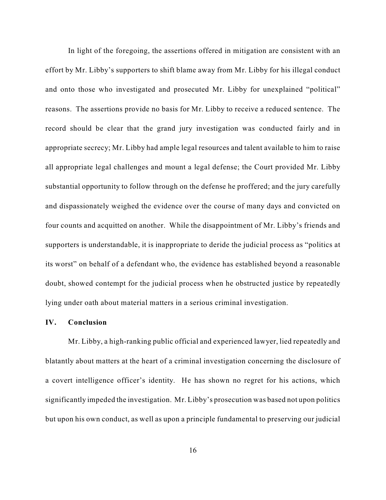In light of the foregoing, the assertions offered in mitigation are consistent with an effort by Mr. Libby's supporters to shift blame away from Mr. Libby for his illegal conduct and onto those who investigated and prosecuted Mr. Libby for unexplained "political" reasons. The assertions provide no basis for Mr. Libby to receive a reduced sentence. The record should be clear that the grand jury investigation was conducted fairly and in appropriate secrecy; Mr. Libby had ample legal resources and talent available to him to raise all appropriate legal challenges and mount a legal defense; the Court provided Mr. Libby substantial opportunity to follow through on the defense he proffered; and the jury carefully and dispassionately weighed the evidence over the course of many days and convicted on four counts and acquitted on another. While the disappointment of Mr. Libby's friends and supporters is understandable, it is inappropriate to deride the judicial process as "politics at its worst" on behalf of a defendant who, the evidence has established beyond a reasonable doubt, showed contempt for the judicial process when he obstructed justice by repeatedly lying under oath about material matters in a serious criminal investigation.

#### **IV. Conclusion**

Mr. Libby, a high-ranking public official and experienced lawyer, lied repeatedly and blatantly about matters at the heart of a criminal investigation concerning the disclosure of a covert intelligence officer's identity. He has shown no regret for his actions, which significantly impeded the investigation. Mr. Libby's prosecution was based not upon politics but upon his own conduct, as well as upon a principle fundamental to preserving our judicial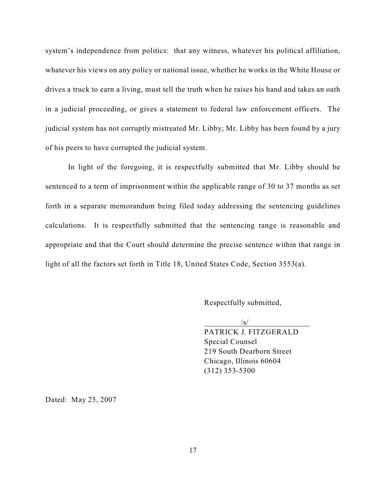system's independence from politics: that any witness, whatever his political affiliation, whatever his views on any policy or national issue, whether he works in the White House or drives a truck to earn a living, must tell the truth when he raises his hand and takes an oath in a judicial proceeding, or gives a statement to federal law enforcement officers. The judicial system has not corruptly mistreated Mr. Libby; Mr. Libby has been found by a jury of his peers to have corrupted the judicial system.

In light of the foregoing, it is respectfully submitted that Mr. Libby should be sentenced to a term of imprisonment within the applicable range of 30 to 37 months as set forth in a separate memorandum being filed today addressing the sentencing guidelines calculations. It is respectfully submitted that the sentencing range is reasonable and appropriate and that the Court should determine the precise sentence within that range in light of all the factors set forth in Title 18, United States Code, Section 3553(a).

Respectfully submitted,

 $\sqrt{s}$ 

PATRICK J. FITZGERALD Special Counsel 219 South Dearborn Street Chicago, Illinois 60604 (312) 353-5300

Dated: May 25, 2007